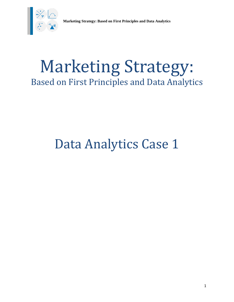

# Marketing Strategy: Based on First Principles and Data Analytics

# Data Analytics Case 1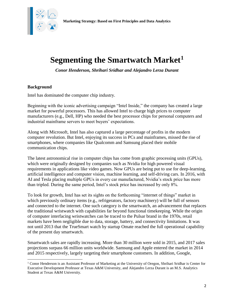

### **Segmenting the Smartwatch Market<sup>1</sup>**

*Conor Henderson, Shrihari Sridhar and Alejandro Lerza Durant*

#### **Background**

 $\overline{\phantom{a}}$ 

Intel has dominated the computer chip industry.

Beginning with the iconic advertising campaign "Intel Inside," the company has created a large market for powerful processors. This has allowed Intel to charge high prices to computer manufacturers (e.g., Dell, HP) who needed the best processor chips for personal computers and industrial mainframe servers to meet buyers' expectations.

Along with Microsoft, Intel has also captured a large percentage of profits in the modern computer revolution. But Intel, enjoying its success in PCs and mainframes, missed the rise of smartphones, where companies like Qualcomm and Samsung placed their mobile communication chips.

The latest astronomical rise in computer chips has come from graphic processing units (GPUs), which were originally designed by companies such as Nvidia for high powered visual requirements in applications like video games. Now GPUs are being put to use for deep-learning, artificial intelligence and computer vision, machine learning, and self-driving cars. In 2016, with AI and Tesla placing multiple GPUs in every car manufactured, Nvidia's stock price has more than tripled. During the same period, Intel's stock price has increased by only 8%.

To look for growth, Intel has set its sights on the forthcoming "internet of things" market in which previously ordinary items (e.g., refrigerators, factory machinery) will be full of sensors and connected to the internet. One such category is the smartwatch, an advancement that replaces the traditional wristwatch with capabilities far beyond functional timekeeping. While the origin of computer interfacing wristwatches can be traced to the Pulsar brand in the 1970s, retail markets have been negligible due to data, storage, battery, and connectivity limitations. It was not until 2013 that the TrueSmart watch by startup Omate reached the full operational capability of the present day smartwatch.

Smartwatch sales are rapidly increasing. More than 30 million were sold in 2015, and 2017 sales projections surpass 66 million units worldwide. Samsung and Apple entered the market in 2014 and 2015 respectively, largely targeting their smartphone customers. In addition, Google,

<sup>1</sup> Conor Henderson is an Assistant Professor of Marketing at the University of Oregon, Shrihari Sridhar is Center for Executive Development Professor at Texas A&M University, and Alejandro Lerza Durant is an M.S. Analytics Student at Texas A&M University.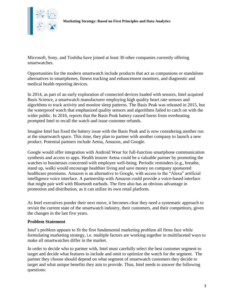

Microsoft, Sony, and Toshiba have joined at least 30 other companies currently offering smartwatches.

Opportunities for the modern smartwatch include products that act as companions or standalone alternatives to smartphones, fitness tracking and enhancement monitors, and diagnostic and medical health reporting devices.

In 2014, as part of an early exploration of connected devices loaded with sensors, Intel acquired Basis Science, a smartwatch manufacturer employing high quality heart rate sensors and algorithms to track activity and monitor sleep patterns. The Basis Peak was released in 2015, but the waterproof watch that emphasized quality sensors and algorithms failed to catch on with the wider public. In 2016, reports that the Basis Peak battery caused burns from overheating prompted Intel to recall the watch and issue customer refunds.

Imagine Intel has fixed the battery issue with the Basis Peak and is now considering another run at the smartwatch space. This time, they plan to partner with another company to launch a new product. Potential partners include Aetna, Amazon, and Google.

Google would offer integration with Android Wear for full-function smartphone communication synthesis and access to apps. Health insurer Aetna could be a valuable partner by promoting the watches to businesses concerned with employee well-being. Periodic reminders (e.g., breathe, stand up, walk) would encourage healthier living and save money on company sponsored healthcare premiums. Amazon is an alternative to Google, with access to the "Alexa" artificial intelligence voice interface. A partnership with Amazon could provide a voice-based interface that might pair well with Bluetooth earbuds. The firm also has an obvious advantage in promotion and distribution, as it can utilize its own retail platform.

As Intel executives ponder their next move, it becomes clear they need a systematic approach to revisit the current state of the smartwatch industry, their customers, and their competitors, given the changes in the last five years.

#### **Problem Statement**

Intel's problem appears to fit the first fundamental marketing problem all firms face while formulating marketing strategy, i.e. multiple factors are working together in multifaceted ways to make all smartwatches differ in the market.

In order to decide who to partner with, Intel must carefully select the best customer segment to target and decide what features to include and omit to optimize the watch for the segment. The partner they choose should depend on what segment of smartwatch customers they decide to target and what unique benefits they aim to provide. Thus, Intel needs to answer the following questions: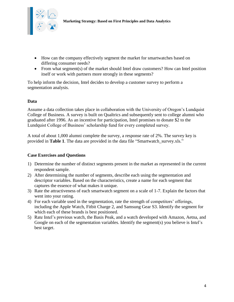

- How can the company effectively segment the market for smartwatches based on differing consumer needs?
- From what segment(s) of the market should Intel draw customers? How can Intel position itself or work with partners more strongly in these segments?

To help inform the decision, Intel decides to develop a customer survey to perform a segmentation analysis.

#### **Data**

Assume a data collection takes place in collaboration with the University of Oregon's Lundquist College of Business. A survey is built on Qualtrics and subsequently sent to college alumni who graduated after 1996. As an incentive for participation, Intel promises to donate \$2 to the Lundquist College of Business' scholarship fund for every completed survey.

A total of about 1,000 alumni complete the survey, a response rate of 2%. The survey key is provided in **Table 1**. The data are provided in the data file "Smartwatch\_survey.xls."

#### **Case Exercises and Questions**

- 1) Determine the number of distinct segments present in the market as represented in the current respondent sample.
- 2) After determining the number of segments, describe each using the segmentation and descriptor variables. Based on the characteristics, create a name for each segment that captures the essence of what makes it unique.
- 3) Rate the attractiveness of each smartwatch segment on a scale of 1-7. Explain the factors that went into your rating.
- 4) For each variable used in the segmentation, rate the strength of competitors' offerings, including the Apple Watch, Fitbit Charge 2, and Samsung Gear S3. Identify the segment for which each of these brands is best positioned.
- 5) Rate Intel's previous watch, the Basis Peak, and a watch developed with Amazon, Aetna, and Google on each of the segmentation variables. Identify the segment(s) you believe is Intel's best target.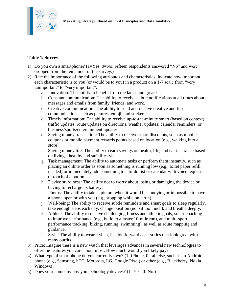

### **Table 1. Survey**

- 1) Do you own a smartphone? (1=Yes, 0=No. Fifteen respondents answered "No" and were dropped from the remainder of the survey.)
- 2) Rate the importance of the following attributes and characteristics. Indicate how important each characteristic is to you (or would be to you) in a product on a 1-7 scale from "very unimportant" to "very important":
	- a. Innovation: The ability to benefit from the latest and greatest.
	- b. Constant communication: The ability to receive subtle notifications at all times about messages and emails from family, friends, and work.
	- c. Creative communication: The ability to send and receive creative and fun communications such as pictures, emoji, and stickers.
	- d. Timely information: The ability to receive up-to-the-minute smart (based on context) traffic updates, route updates on directions, weather updates, calendar reminders, or business/sports/entertainment updates.
	- e. Saving money transaction: The ability to receive smart discounts, such as mobile coupons or mobile payment rewards points based on location (e.g., walking into a store).
	- f. Saving money life: The ability to earn savings on health, life, and car insurance based on living a healthy and safe lifestyle.
	- g. Task management: The ability to automate tasks or perform them instantly, such as placing an online order as soon as something is running low (e.g., toilet paper refill needed) or immediately add something to a to-do list or calendar with voice requests or touch of a button.
	- h. Device sturdiness: The ability not to worry about losing or damaging the device or having to recharge its battery.
	- i. Photos: The ability to take a picture when it would be annoying or impossible to have a phone open or with you (e.g., stopping while on a run).
	- j. Well-being: The ability to receive subtle reminders and smart goals to sleep regularly, take enough steps each day, change position (not sit too much), and breathe deeply.
	- k. Athlete: The ability to receive challenging fitness and athletic goals, smart coaching to improve performance (e.g., build to a faster 10-mile run), and multi-sport performance tracking (biking, running, swimming), as well as route mapping and guidance.
	- l. Style: The ability to wear stylish, fashion forward accessories that look great with many outfits.
- 3) Price: Imagine there is a new watch that leverages advances in several new technologies to offer the features you care about most. How much would you likely pay?
- 4) What type of smartphone do you currently own? (1=iPhone, 0= all else, such as an Android phone (e.g., Samsung, hTC, Motorola, LG, Google Pixel) or other (e.g., Blackberry, Nokia Windows).
- 5) Does your company buy you technology devices? (1=Yes, 0=No.)